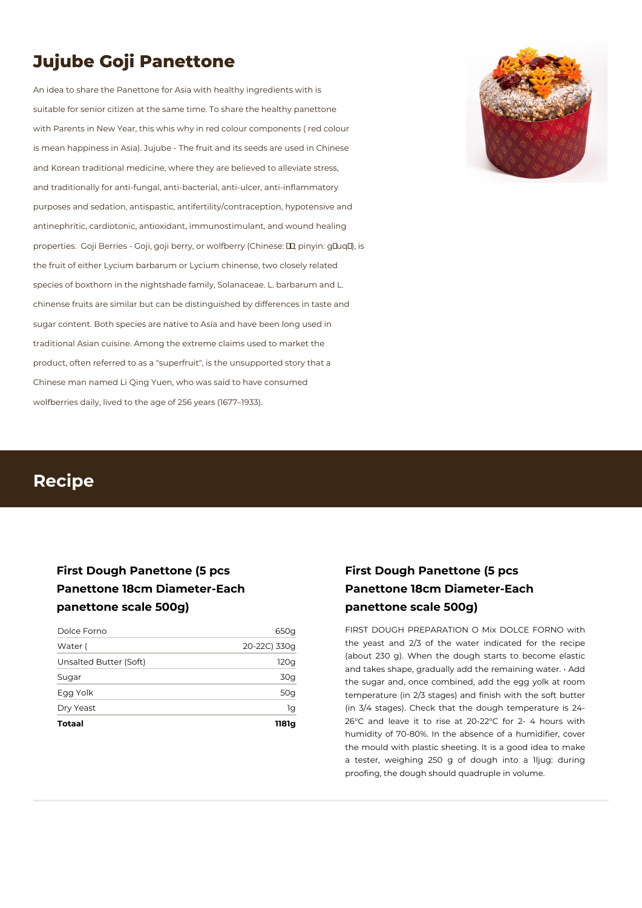# **Jujube Goji Panettone**

An idea to share the Panettone for Asia with healthy ingredients with is suitable for senior citizen at the same time. To share the healthy panettone with Parents in New Year, this whis why in red colour components ( red colour is mean happiness in Asia). Jujube - The fruit and its seeds are used in Chinese and Korean traditional medicine, where they are believed to alleviate stress, and traditionally for anti-fungal, anti-bacterial, anti-ulcer, anti-inflammatory purposes and sedation, antispastic, antifertility/contraception, hypotensive and antinephritic, cardiotonic, antioxidant, immunostimulant, and wound healing properties. Goji Berries - Goji, goji berry, or wolfberry (Chinese: **II**; pinyin: gIuqI), is the fruit of either Lycium barbarum or Lycium chinense, two closely related species of boxthorn in the nightshade family, Solanaceae. L. barbarum and L. chinense fruits are similar but can be distinguished by differences in taste and sugar content. Both species are native to Asia and have been long used in traditional Asian cuisine. Among the extreme claims used to market the product, often referred to as a "superfruit", is the unsupported story that a Chinese man named Li Qing Yuen, who was said to have consumed wolfberries daily, lived to the age of 256 years (1677–1933).



## **Recipe**

## **First Dough Panettone (5 pcs Panettone 18cm Diameter-Each panettone scale 500g)**

| <b>Totaal</b>          | 1181a        |
|------------------------|--------------|
| Dry Yeast              | 1g           |
| Egg Yolk               | 50g          |
| Sugar                  | 30g          |
| Unsalted Butter (Soft) | 120g         |
| Water (                | 20-22C) 330q |
| Dolce Forno            | 650g         |

## **First Dough Panettone (5 pcs Panettone 18cm Diameter-Each panettone scale 500g)**

FIRST DOUGH PREPARATION O Mix DOLCE FORNO with the yeast and 2/3 of the water indicated for the recipe (about 230 g). When the dough starts to become elastic and takes shape, gradually add the remaining water. • Add the sugar and, once combined, add the egg yolk at room temperature (in 2/3 stages) and finish with the soft butter (in 3/4 stages). Check that the dough temperature is 24- 26°C and leave it to rise at 20-22°C for 2- 4 hours with humidity of 70-80%. In the absence of a humidifier, cover the mould with plastic sheeting. It is a good idea to make a tester, weighing 250 g of dough into a 1ljug: during proofing, the dough should quadruple in volume.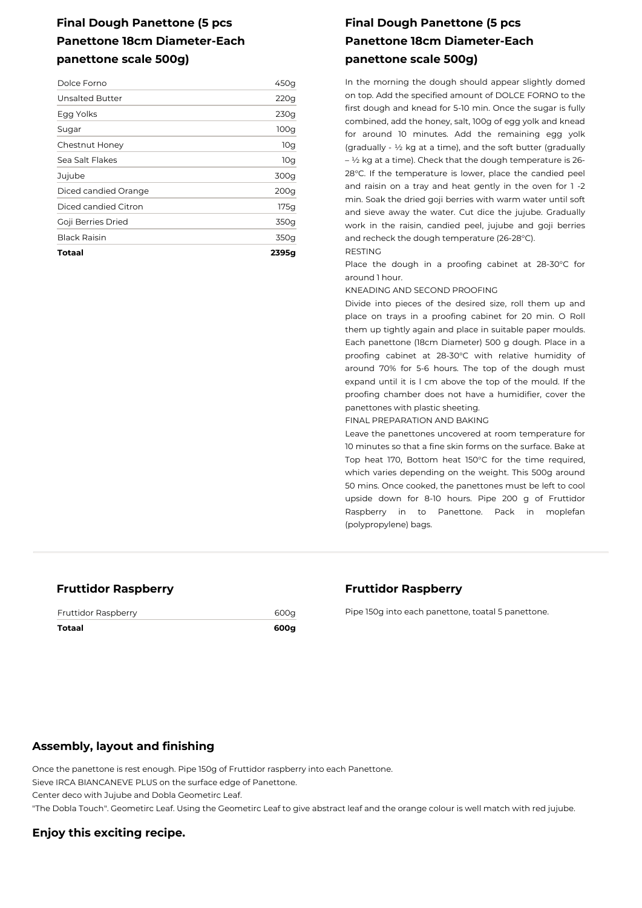## **Final Dough Panettone (5 pcs Panettone 18cm Diameter-Each panettone scale 500g)**

| Totaal               | 2395g            |
|----------------------|------------------|
| Black Raisin         | 350g             |
| Goji Berries Dried   | 350g             |
| Diced candied Citron | 175g             |
| Diced candied Orange | 200 <sub>g</sub> |
| Jujube               | 300g             |
| Sea Salt Flakes      | 10g              |
| Chestnut Honey       | 10g              |
| Sugar                | 100 <sub>g</sub> |
| Egg Yolks            | 230g             |
| Unsalted Butter      | 220q             |
| Dolce Forno          | 450g             |

## **Final Dough Panettone (5 pcs Panettone 18cm Diameter-Each panettone scale 500g)**

In the morning the dough should appear slightly domed on top. Add the specified amount of DOLCE FORNO to the first dough and knead for 5-10 min. Once the sugar is fully combined, add the honey, salt, 100g of egg yolk and knead for around 10 minutes. Add the remaining egg yolk (gradually - ½ kg at a time), and the soft butter (gradually  $-$  ½ kg at a time). Check that the dough temperature is 26-28°C. If the temperature is lower, place the candied peel and raisin on a tray and heat gently in the oven for 1 -2 min. Soak the dried goji berries with warm water until soft and sieve away the water. Cut dice the jujube. Gradually work in the raisin, candied peel, jujube and goji berries and recheck the dough temperature (26-28°C).

RESTING

Place the dough in a proofing cabinet at 28-30°C for around 1 hour.

KNEADING AND SECOND PROOFING

Divide into pieces of the desired size, roll them up and place on trays in a proofing cabinet for 20 min. O Roll them up tightly again and place in suitable paper moulds. Each panettone (18cm Diameter) 500 g dough. Place in a proofing cabinet at 28-30°C with relative humidity of around 70% for 5-6 hours. The top of the dough must expand until it is l cm above the top of the mould. If the proofing chamber does not have a humidifier, cover the panettones with plastic sheeting.

FINAL PREPARATION AND BAKING

Leave the panettones uncovered at room temperature for 10 minutes so that a fine skin forms on the surface. Bake at Top heat 170, Bottom heat 150°C for the time required, which varies depending on the weight. This 500g around 50 mins. Once cooked, the panettones must be left to cool upside down for 8-10 hours. Pipe 200 g of Fruttidor Raspberry in to Panettone. Pack in moplefan (polypropylene) bags.

#### **Fruttidor Raspberry**

Fruttidor Raspberry 600g

**Totaal 600g**

#### **Fruttidor Raspberry**

Pipe 150g into each panettone, toatal 5 panettone.

#### **Assembly, layout and finishing**

Once the panettone is rest enough. Pipe 150g of Fruttidor raspberry into each Panettone. Sieve IRCA BIANCANEVE PLUS on the surface edge of Panettone. Center deco with Jujube and Dobla Geometirc Leaf. "The Dobla Touch". Geometirc Leaf. Using the Geometirc Leaf to give abstract leaf and the orange colour is well match with red jujube.

### **Enjoy this exciting recipe.**